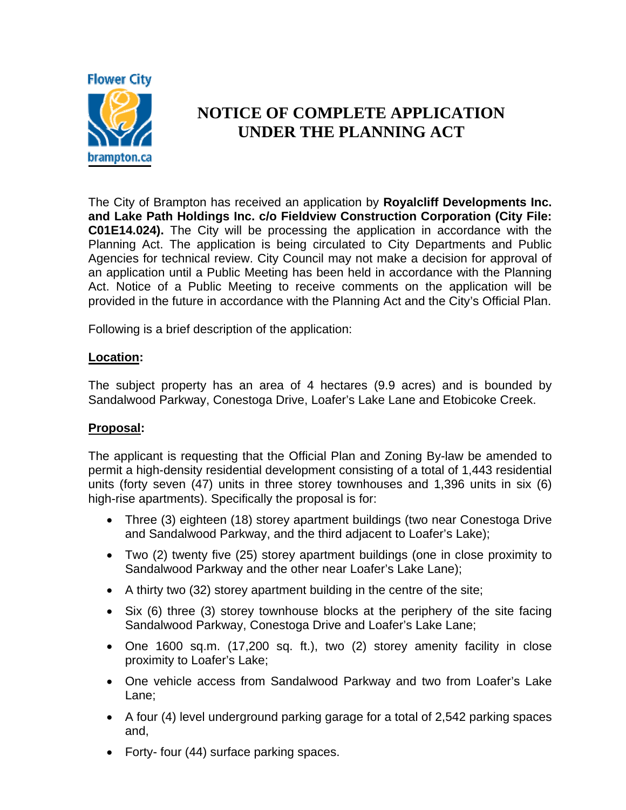

## **NOTICE OF COMPLETE APPLICATION UNDER THE PLANNING ACT**

The City of Brampton has received an application by **Royalcliff Developments Inc. and Lake Path Holdings Inc. c/o Fieldview Construction Corporation (City File: C01E14.024).** The City will be processing the application in accordance with the Planning Act. The application is being circulated to City Departments and Public Agencies for technical review. City Council may not make a decision for approval of an application until a Public Meeting has been held in accordance with the Planning Act. Notice of a Public Meeting to receive comments on the application will be provided in the future in accordance with the Planning Act and the City's Official Plan.

Following is a brief description of the application:

## **Location:**

The subject property has an area of 4 hectares (9.9 acres) and is bounded by Sandalwood Parkway, Conestoga Drive, Loafer's Lake Lane and Etobicoke Creek.

## **Proposal:**

The applicant is requesting that the Official Plan and Zoning By-law be amended to permit a high-density residential development consisting of a total of 1,443 residential units (forty seven (47) units in three storey townhouses and 1,396 units in six (6) high-rise apartments). Specifically the proposal is for:

- Three (3) eighteen (18) storey apartment buildings (two near Conestoga Drive and Sandalwood Parkway, and the third adjacent to Loafer's Lake);
- Two (2) twenty five (25) storey apartment buildings (one in close proximity to Sandalwood Parkway and the other near Loafer's Lake Lane);
- A thirty two (32) storey apartment building in the centre of the site;
- Six (6) three (3) storey townhouse blocks at the periphery of the site facing Sandalwood Parkway, Conestoga Drive and Loafer's Lake Lane;
- One 1600 sq.m. (17,200 sq. ft.), two (2) storey amenity facility in close proximity to Loafer's Lake;
- One vehicle access from Sandalwood Parkway and two from Loafer's Lake Lane;
- A four (4) level underground parking garage for a total of 2,542 parking spaces and,
- Forty- four (44) surface parking spaces.